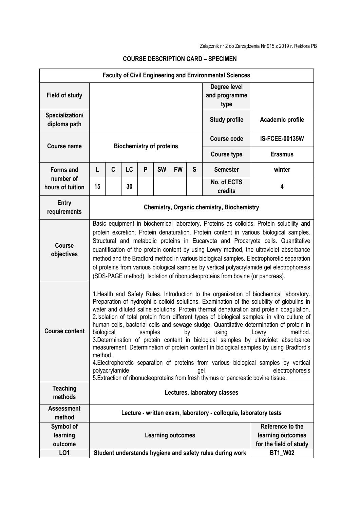| <b>Faculty of Civil Engineering and Environmental Sciences</b> |                                                                                                                                                                                                                                                                                                                                                                                                                                                                                                                                                                                                                                               |                                                                                                                                                                                                                                                                                                                                                                                                                                                                                                                                                                                                                                                                                                                                                                                                                                                                                                                                                                      |    |   |                          |           |   |                                                                 |                       |  |  |
|----------------------------------------------------------------|-----------------------------------------------------------------------------------------------------------------------------------------------------------------------------------------------------------------------------------------------------------------------------------------------------------------------------------------------------------------------------------------------------------------------------------------------------------------------------------------------------------------------------------------------------------------------------------------------------------------------------------------------|----------------------------------------------------------------------------------------------------------------------------------------------------------------------------------------------------------------------------------------------------------------------------------------------------------------------------------------------------------------------------------------------------------------------------------------------------------------------------------------------------------------------------------------------------------------------------------------------------------------------------------------------------------------------------------------------------------------------------------------------------------------------------------------------------------------------------------------------------------------------------------------------------------------------------------------------------------------------|----|---|--------------------------|-----------|---|-----------------------------------------------------------------|-----------------------|--|--|
| <b>Field of study</b>                                          |                                                                                                                                                                                                                                                                                                                                                                                                                                                                                                                                                                                                                                               |                                                                                                                                                                                                                                                                                                                                                                                                                                                                                                                                                                                                                                                                                                                                                                                                                                                                                                                                                                      |    |   |                          |           |   | Degree level<br>and programme<br>type                           |                       |  |  |
| Specialization/<br>diploma path                                |                                                                                                                                                                                                                                                                                                                                                                                                                                                                                                                                                                                                                                               |                                                                                                                                                                                                                                                                                                                                                                                                                                                                                                                                                                                                                                                                                                                                                                                                                                                                                                                                                                      |    |   |                          |           |   | <b>Study profile</b>                                            | Academic profile      |  |  |
| <b>Course name</b>                                             | <b>Biochemistry of proteins</b>                                                                                                                                                                                                                                                                                                                                                                                                                                                                                                                                                                                                               |                                                                                                                                                                                                                                                                                                                                                                                                                                                                                                                                                                                                                                                                                                                                                                                                                                                                                                                                                                      |    |   |                          |           |   | <b>Course code</b>                                              | <b>IS-FCEE-00135W</b> |  |  |
|                                                                |                                                                                                                                                                                                                                                                                                                                                                                                                                                                                                                                                                                                                                               |                                                                                                                                                                                                                                                                                                                                                                                                                                                                                                                                                                                                                                                                                                                                                                                                                                                                                                                                                                      |    |   |                          |           |   | <b>Course type</b>                                              | <b>Erasmus</b>        |  |  |
| <b>Forms and</b>                                               | L                                                                                                                                                                                                                                                                                                                                                                                                                                                                                                                                                                                                                                             | C                                                                                                                                                                                                                                                                                                                                                                                                                                                                                                                                                                                                                                                                                                                                                                                                                                                                                                                                                                    | LC | P | <b>SW</b>                | <b>FW</b> | S | <b>Semester</b>                                                 | winter                |  |  |
| number of<br>hours of tuition                                  | 15                                                                                                                                                                                                                                                                                                                                                                                                                                                                                                                                                                                                                                            |                                                                                                                                                                                                                                                                                                                                                                                                                                                                                                                                                                                                                                                                                                                                                                                                                                                                                                                                                                      | 30 |   |                          |           |   | No. of ECTS<br>credits                                          | 4                     |  |  |
| <b>Entry</b><br>requirements                                   | <b>Chemistry, Organic chemistry, Biochemistry</b>                                                                                                                                                                                                                                                                                                                                                                                                                                                                                                                                                                                             |                                                                                                                                                                                                                                                                                                                                                                                                                                                                                                                                                                                                                                                                                                                                                                                                                                                                                                                                                                      |    |   |                          |           |   |                                                                 |                       |  |  |
| <b>Course</b><br>objectives                                    | Basic equipment in biochemical laboratory. Proteins as colloids. Protein solubility and<br>protein excretion. Protein denaturation. Protein content in various biological samples.<br>Structural and metabolic proteins in Eucaryota and Procaryota cells. Quantitative<br>quantification of the protein content by using Lowry method, the ultraviolet absorbance<br>method and the Bradford method in various biological samples. Electrophoretic separation<br>of proteins from various biological samples by vertical polyacrylamide gel electrophoresis<br>(SDS-PAGE method). Isolation of ribonucleoproteins from bovine (or pancreas). |                                                                                                                                                                                                                                                                                                                                                                                                                                                                                                                                                                                                                                                                                                                                                                                                                                                                                                                                                                      |    |   |                          |           |   |                                                                 |                       |  |  |
| <b>Course content</b>                                          |                                                                                                                                                                                                                                                                                                                                                                                                                                                                                                                                                                                                                                               | 1. Health and Safety Rules. Introduction to the organization of biochemical laboratory.<br>Preparation of hydrophilic colloid solutions. Examination of the solubility of globulins in<br>water and diluted saline solutions. Protein thermal denaturation and protein coagulation.<br>2. Isolation of total protein from different types of biological samples: in vitro culture of<br>human cells, bacterial cells and sewage sludge. Quantitative determination of protein in<br>biological<br>samples<br>method.<br>by<br>using<br>Lowry<br>3. Determination of protein content in biological samples by ultraviolet absorbance<br>measurement. Determination of protein content in biological samples by using Bradford's<br>method.<br>4. Electrophoretic separation of proteins from various biological samples by vertical<br>polyacrylamide<br>electrophoresis<br>gel<br>5. Extraction of ribonucleoproteins from fresh thymus or pancreatic bovine tissue. |    |   |                          |           |   |                                                                 |                       |  |  |
| <b>Teaching</b><br>methods                                     | Lectures, laboratory classes                                                                                                                                                                                                                                                                                                                                                                                                                                                                                                                                                                                                                  |                                                                                                                                                                                                                                                                                                                                                                                                                                                                                                                                                                                                                                                                                                                                                                                                                                                                                                                                                                      |    |   |                          |           |   |                                                                 |                       |  |  |
| <b>Assessment</b><br>method                                    | Lecture - written exam, laboratory - colloquia, laboratory tests                                                                                                                                                                                                                                                                                                                                                                                                                                                                                                                                                                              |                                                                                                                                                                                                                                                                                                                                                                                                                                                                                                                                                                                                                                                                                                                                                                                                                                                                                                                                                                      |    |   |                          |           |   |                                                                 |                       |  |  |
| Symbol of<br>learning<br>outcome                               |                                                                                                                                                                                                                                                                                                                                                                                                                                                                                                                                                                                                                                               |                                                                                                                                                                                                                                                                                                                                                                                                                                                                                                                                                                                                                                                                                                                                                                                                                                                                                                                                                                      |    |   | <b>Learning outcomes</b> |           |   | Reference to the<br>learning outcomes<br>for the field of study |                       |  |  |
| LO1                                                            |                                                                                                                                                                                                                                                                                                                                                                                                                                                                                                                                                                                                                                               |                                                                                                                                                                                                                                                                                                                                                                                                                                                                                                                                                                                                                                                                                                                                                                                                                                                                                                                                                                      |    |   |                          |           |   | Student understands hygiene and safety rules during work        | <b>BT1_W02</b>        |  |  |

## **COURSE DESCRIPTION CARD – SPECIMEN**